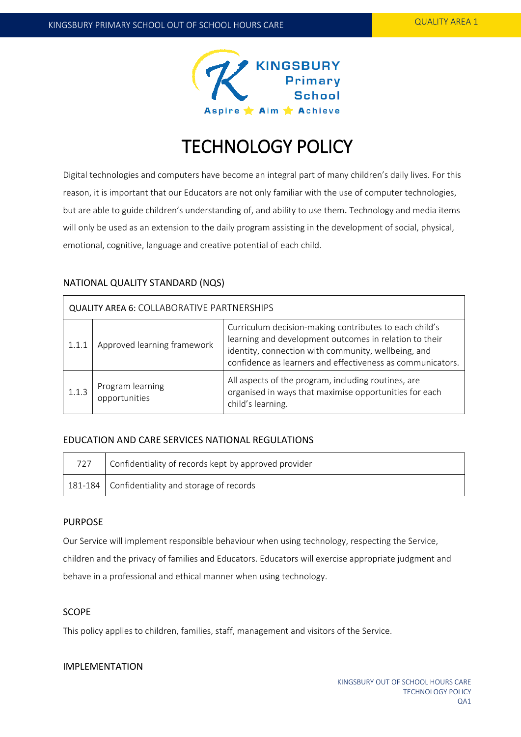

# TECHNOLOGY POLICY

Digital technologies and computers have become an integral part of many children's daily lives. For this reason, it is important that our Educators are not only familiar with the use of computer technologies, but are able to guide children's understanding of, and ability to use them. Technology and media items will only be used as an extension to the daily program assisting in the development of social, physical, emotional, cognitive, language and creative potential of each child.

# NATIONAL QUALITY STANDARD (NQS)

| QUALITY AREA 6: COLLABORATIVE PARTNERSHIPS |                                   |                                                                                                                                                                                                                                       |  |  |
|--------------------------------------------|-----------------------------------|---------------------------------------------------------------------------------------------------------------------------------------------------------------------------------------------------------------------------------------|--|--|
| 1.1.1                                      | Approved learning framework       | Curriculum decision-making contributes to each child's<br>learning and development outcomes in relation to their<br>identity, connection with community, wellbeing, and<br>confidence as learners and effectiveness as communicators. |  |  |
| 1.1.3                                      | Program learning<br>opportunities | All aspects of the program, including routines, are<br>organised in ways that maximise opportunities for each<br>child's learning.                                                                                                    |  |  |

## EDUCATION AND CARE SERVICES NATIONAL REGULATIONS

| 727 | Confidentiality of records kept by approved provider |
|-----|------------------------------------------------------|
|     | 181-184 Confidentiality and storage of records       |

## PURPOSE

Our Service will implement responsible behaviour when using technology, respecting the Service, children and the privacy of families and Educators. Educators will exercise appropriate judgment and behave in a professional and ethical manner when using technology.

## SCOPE

This policy applies to children, families, staff, management and visitors of the Service.

# IMPLEMENTATION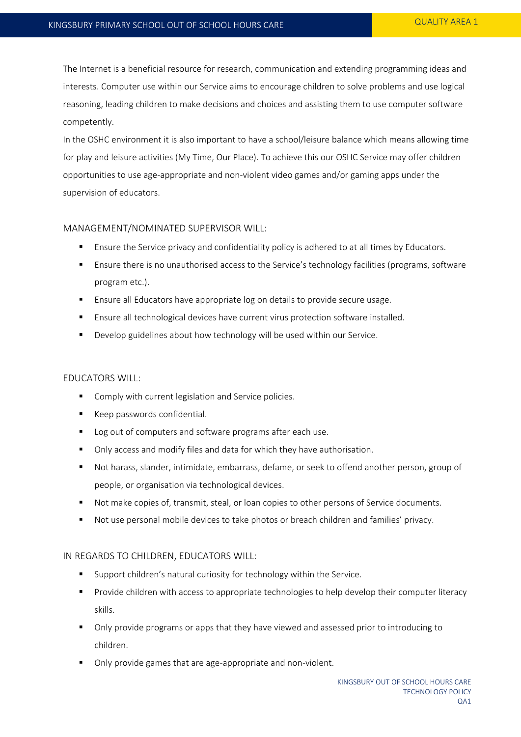The Internet is a beneficial resource for research, communication and extending programming ideas and interests. Computer use within our Service aims to encourage children to solve problems and use logical reasoning, leading children to make decisions and choices and assisting them to use computer software competently.

In the OSHC environment it is also important to have a school/leisure balance which means allowing time for play and leisure activities (My Time, Our Place). To achieve this our OSHC Service may offer children opportunities to use age-appropriate and non-violent video games and/or gaming apps under the supervision of educators.

#### MANAGEMENT/NOMINATED SUPERVISOR WILL:

- **E** Ensure the Service privacy and confidentiality policy is adhered to at all times by Educators.
- Ensure there is no unauthorised access to the Service's technology facilities (programs, software program etc.).
- Ensure all Educators have appropriate log on details to provide secure usage.
- **Ensure all technological devices have current virus protection software installed.**
- **Develop guidelines about how technology will be used within our Service.**

#### EDUCATORS WILL:

- **Comply with current legislation and Service policies.**
- **Keep passwords confidential.**
- **Log out of computers and software programs after each use.**
- Only access and modify files and data for which they have authorisation.
- Not harass, slander, intimidate, embarrass, defame, or seek to offend another person, group of people, or organisation via technological devices.
- Not make copies of, transmit, steal, or loan copies to other persons of Service documents.
- Not use personal mobile devices to take photos or breach children and families' privacy.

#### IN REGARDS TO CHILDREN, EDUCATORS WILL:

- Support children's natural curiosity for technology within the Service.
- Provide children with access to appropriate technologies to help develop their computer literacy skills.
- Only provide programs or apps that they have viewed and assessed prior to introducing to children.
- Only provide games that are age-appropriate and non-violent.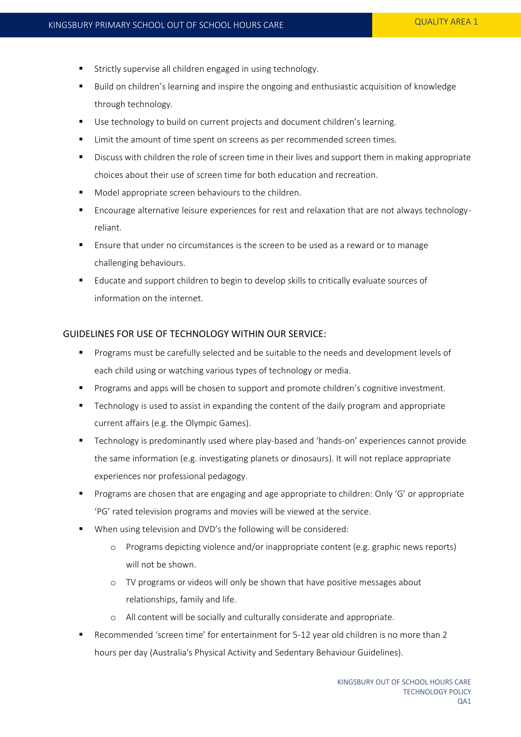- Strictly supervise all children engaged in using technology.
- Build on children's learning and inspire the ongoing and enthusiastic acquisition of knowledge through technology.
- Use technology to build on current projects and document children's learning.
- Limit the amount of time spent on screens as per recommended screen times.
- **EXECT** Discuss with children the role of screen time in their lives and support them in making appropriate choices about their use of screen time for both education and recreation.
- **Model appropriate screen behaviours to the children.**
- Encourage alternative leisure experiences for rest and relaxation that are not always technologyreliant.
- Ensure that under no circumstances is the screen to be used as a reward or to manage challenging behaviours.
- Educate and support children to begin to develop skills to critically evaluate sources of information on the internet.

### GUIDELINES FOR USE OF TECHNOLOGY WITHIN OUR SERVICE:

- Programs must be carefully selected and be suitable to the needs and development levels of each child using or watching various types of technology or media.
- **Programs and apps will be chosen to support and promote children's cognitive investment.**
- Technology is used to assist in expanding the content of the daily program and appropriate current affairs (e.g. the Olympic Games).
- Technology is predominantly used where play-based and 'hands-on' experiences cannot provide the same information (e.g. investigating planets or dinosaurs). It will not replace appropriate experiences nor professional pedagogy.
- Programs are chosen that are engaging and age appropriate to children: Only 'G' or appropriate 'PG' rated television programs and movies will be viewed at the service.
- When using television and DVD's the following will be considered:
	- o Programs depicting violence and/or inappropriate content (e.g. graphic news reports) will not be shown.
	- o TV programs or videos will only be shown that have positive messages about relationships, family and life.
	- o All content will be socially and culturally considerate and appropriate.
- Recommended 'screen time' for entertainment for 5-12 year old children is no more than 2 hours per day (Australia's Physical Activity and Sedentary Behaviour Guidelines).